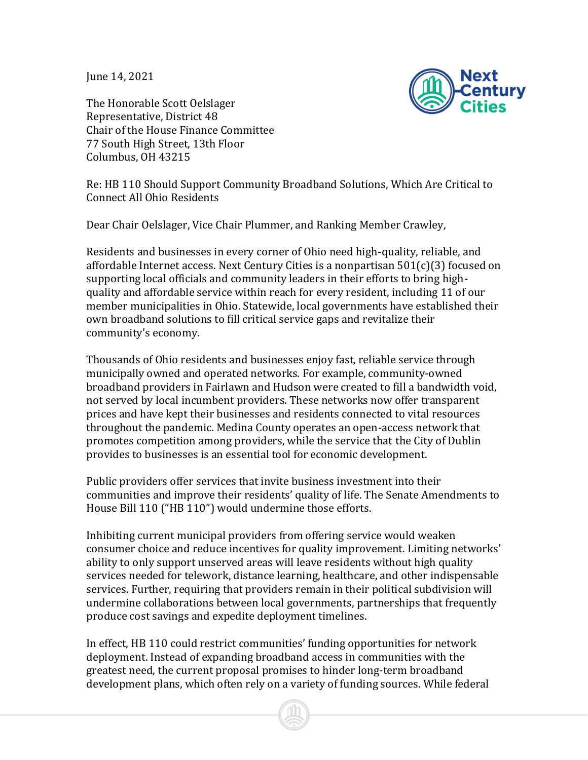June 14, 2021

Next enturv

The Honorable Scott Oelslager Representative, District 48 Chair of the House Finance Committee 77 South High Street, 13th Floor Columbus, OH 43215

Re: HB 110 Should Support Community Broadband Solutions, Which Are Critical to Connect All Ohio Residents

Dear Chair Oelslager, Vice Chair Plummer, and Ranking Member Crawley,

Residents and businesses in every corner of Ohio need high-quality, reliable, and affordable Internet access. Next Century Cities is a nonpartisan 501(c)(3) focused on supporting local officials and community leaders in their efforts to bring highquality and affordable service within reach for every resident, including 11 of our member municipalities in Ohio. Statewide, local governments have established their own broadband solutions to fill critical service gaps and revitalize their community's economy.

Thousands of Ohio residents and businesses enjoy fast, reliable service through municipally owned and operated networks. For example, community-owned broadband providers in Fairlawn and Hudson were created to fill a bandwidth void, not served by local incumbent providers. These networks now offer transparent prices and have kept their businesses and residents connected to vital resources throughout the pandemic. Medina County operates an open-access network that promotes competition among providers, while the service that the City of Dublin provides to businesses is an essential tool for economic development.

Public providers offer services that invite business investment into their communities and improve their residents' quality of life. The Senate Amendments to House Bill 110 ("HB 110") would undermine those efforts.

Inhibiting current municipal providers from offering service would weaken consumer choice and reduce incentives for quality improvement. Limiting networks' ability to only support unserved areas will leave residents without high quality services needed for telework, distance learning, healthcare, and other indispensable services. Further, requiring that providers remain in their political subdivision will undermine collaborations between local governments, partnerships that frequently produce cost savings and expedite deployment timelines.

In effect, HB 110 could restrict communities' funding opportunities for network deployment. Instead of expanding broadband access in communities with the greatest need, the current proposal promises to hinder long-term broadband development plans, which often rely on a variety of funding sources. While federal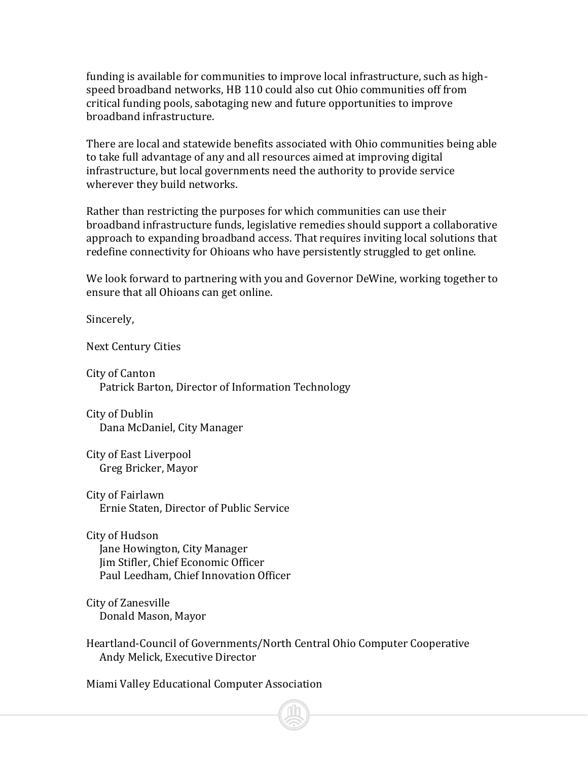funding is available for communities to improve local infrastructure, such as highspeed broadband networks, HB 110 could also cut Ohio communities off from critical funding pools, sabotaging new and future opportunities to improve broadband infrastructure.

There are local and statewide benefits associated with Ohio communities being able to take full advantage of any and all resources aimed at improving digital infrastructure, but local governments need the authority to provide service wherever they build networks.

Rather than restricting the purposes for which communities can use their broadband infrastructure funds, legislative remedies should support a collaborative approach to expanding broadband access. That requires inviting local solutions that redefine connectivity for Ohioans who have persistently struggled to get online.

We look forward to partnering with you and Governor DeWine, working together to ensure that all Ohioans can get online.

Sincerely,

Next Century Cities

City of Canton Patrick Barton, Director of Information Technology

City of Dublin Dana McDaniel, City Manager

City of East Liverpool Greg Bricker, Mayor

City of Fairlawn Ernie Staten, Director of Public Service

City of Hudson Jane Howington, City Manager Jim Stifler, Chief Economic Officer Paul Leedham, Chief Innovation Officer

City of Zanesville Donald Mason, Mayor

Heartland-Council of Governments/North Central Ohio Computer Cooperative Andy Melick, Executive Director

Miami Valley Educational Computer Association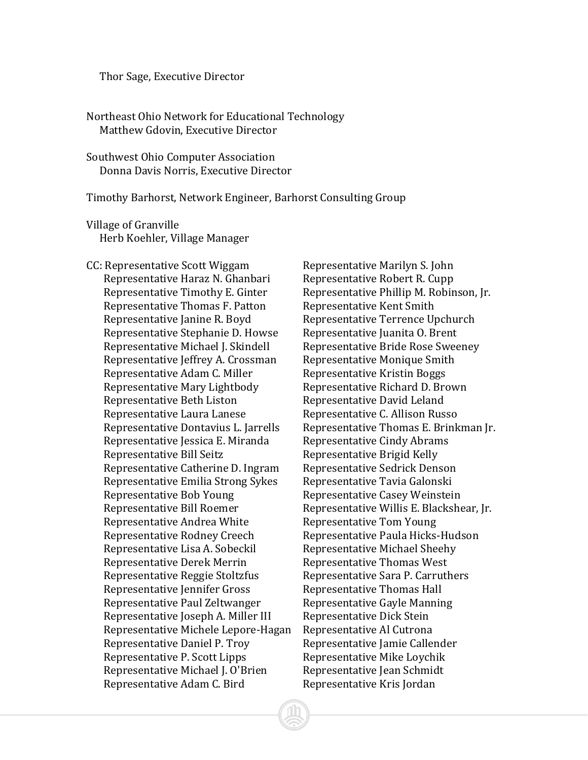## Thor Sage, Executive Director

Northeast Ohio Network for Educational Technology Matthew Gdovin, Executive Director

Southwest Ohio Computer Association Donna Davis Norris, Executive Director

Timothy Barhorst, Network Engineer, Barhorst Consulting Group

Village of Granville Herb Koehler, Village Manager

CC: Representative Scott Wiggam Representative Marilyn S. John Representative Haraz N. Ghanbari Representative Robert R. Cupp Representative Thomas F. Patton Representative Kent Smith Representative Janine R. Boyd<br>Representative Terrence Upchurch Representative Stephanie D. Howse Representative Juanita O. Brent Representative Michael J. Skindell Representative Bride Rose Sweeney Representative Jeffrey A. Crossman Representative Monique Smith Representative Adam C. Miller Representative Kristin Boggs Representative Mary Lightbody Representative Richard D. Brown Representative Beth Liston Representative David Leland Representative Laura Lanese Representative C. Allison Russo Representative Jessica E. Miranda Representative Cindy Abrams Representative Bill Seitz Representative Brigid Kelly Representative Catherine D. Ingram Representative Sedrick Denson Representative Emilia Strong Sykes Representative Tavia Galonski Representative Bob Young Representative Casey Weinstein Representative Andrea White Representative Tom Young Representative Rodney Creech Representative Paula Hicks-Hudson Representative Lisa A. Sobeckil Representative Michael Sheehy Representative Derek Merrin Representative Thomas West Representative Reggie Stoltzfus Representative Sara P. Carruthers Representative Jennifer Gross Representative Thomas Hall Representative Paul Zeltwanger Representative Gayle Manning Representative Joseph A. Miller III Representative Dick Stein Representative Michele Lepore-Hagan Representative Al Cutrona Representative Daniel P. Troy Representative Jamie Callender Representative P. Scott Lipps Representative Mike Loychik Representative Michael J. O'Brien Representative Jean Schmidt Representative Adam C. Bird Representative Kris Jordan

Representative Timothy E. Ginter Representative Phillip M. Robinson, Jr. Representative Dontavius L. Jarrells Representative Thomas E. Brinkman Jr. Representative Bill Roemer Representative Willis E. Blackshear, Jr.